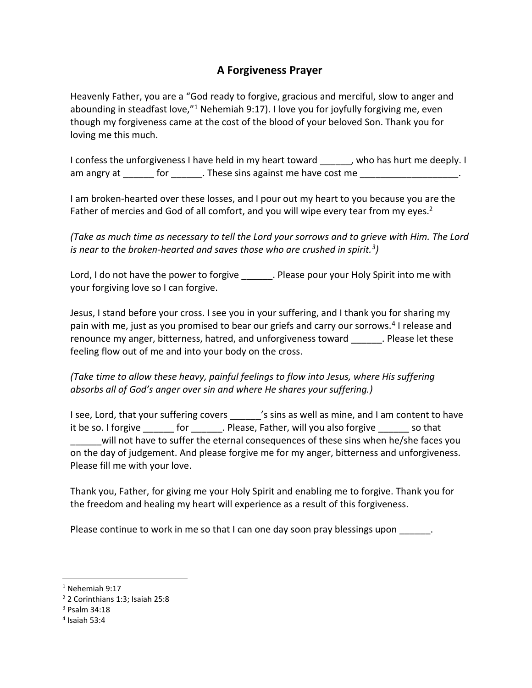## **A Forgiveness Prayer**

Heavenly Father, you are a "God ready to forgive, gracious and merciful, slow to anger and abounding in steadfast love, $n<sup>1</sup>$  Nehemiah 9:17). I love you for joyfully forgiving me, even though my forgiveness came at the cost of the blood of your beloved Son. Thank you for loving me this much.

I confess the unforgiveness I have held in my heart toward \_\_\_\_\_, who has hurt me deeply. I am angry at \_\_\_\_\_\_ for \_\_\_\_\_\_. These sins against me have cost me \_\_\_\_\_\_\_\_\_\_\_\_\_\_

I am broken-hearted over these losses, and I pour out my heart to you because you are the Father of mercies and God of all comfort, and you will wipe every tear from my eyes.<sup>2</sup>

*(Take as much time as necessary to tell the Lord your sorrows and to grieve with Him. The Lord is near to the broken-hearted and saves those who are crushed in spirit.<sup>3</sup> )*

Lord, I do not have the power to forgive . Please pour your Holy Spirit into me with your forgiving love so I can forgive.

Jesus, I stand before your cross. I see you in your suffering, and I thank you for sharing my pain with me, just as you promised to bear our griefs and carry our sorrows.<sup>4</sup> I release and renounce my anger, bitterness, hatred, and unforgiveness toward \_\_\_\_\_\_. Please let these feeling flow out of me and into your body on the cross.

*(Take time to allow these heavy, painful feelings to flow into Jesus, where His suffering absorbs all of God's anger over sin and where He shares your suffering.)*

I see, Lord, that your suffering covers <sup>'s</sup> sins as well as mine, and I am content to have it be so. I forgive for the Please, Father, will you also forgive so that will not have to suffer the eternal consequences of these sins when he/she faces you on the day of judgement. And please forgive me for my anger, bitterness and unforgiveness. Please fill me with your love.

Thank you, Father, for giving me your Holy Spirit and enabling me to forgive. Thank you for the freedom and healing my heart will experience as a result of this forgiveness.

Please continue to work in me so that I can one day soon pray blessings upon \_\_\_\_\_\_.

<sup>1</sup> Nehemiah 9:17

<sup>2</sup> 2 Corinthians 1:3; Isaiah 25:8

<sup>3</sup> Psalm 34:18

<sup>4</sup> Isaiah 53:4